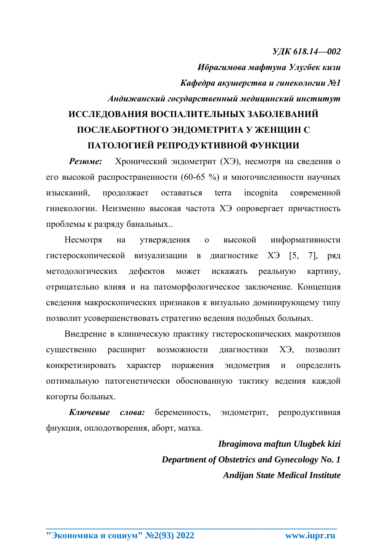## *УДК 618.14—002*

*Ибрагимова мафтуна Улугбек кизи Кафедра акушерства и гинекологии №1 Андижанский государственный медицинский институт* **ИССЛЕДОВАНИЯ ВОСПАЛИТЕЛЬНЫХ ЗАБОЛЕВАНИЙ** 

## **ПОСЛЕАБОРТНОГО ЭНДОМЕТРИТА У ЖЕНЩИН С ПАТОЛОГИЕЙ РЕПРОДУКТИВНОЙ ФУНКЦИИ**

**Резюме:** Хронический эндометрит (ХЭ), несмотря на сведения о его высокой распространенности (60-65 %) и многочисленности научных изысканий, продолжает оставаться terra incognita современной гинекологии. Неизменно высокая частота ХЭ опровергает причастность проблемы к разряду банальных..

Несмотря на утверждения о высокой информативности гистероскопической визуализации в диагностике ХЭ [5, 7], ряд методологических дефектов может искажать реальную картину, отрицательно влияя и на патоморфологическое заключение. Концепция сведения макроскопических признаков к визуально доминирующему типу позволит усовершенствовать стратегию ведения подобных больных.

Внедрение в клиническую практику гистероскопических макротипов существенно расширит возможности диагностики ХЭ, позволит конкретизировать характер поражения эндометрия и определить оптимальную патогенетически обоснованную тактику ведения каждой когорты больных.

*Ключевые слова:* беременность, эндометрит, репродуктивная фнукция, оплодотворения, аборт, матка.

**\_\_\_\_\_\_\_\_\_\_\_\_\_\_\_\_\_\_\_\_\_\_\_\_\_\_\_\_\_\_\_\_\_\_\_\_\_\_\_\_\_\_\_\_\_\_\_\_\_\_\_\_\_\_\_\_\_\_\_\_\_\_\_\_**

*Ibragimova maftun Ulugbek kizi Department of Obstetrics and Gynecology No. 1 Andijan State Medical Institute*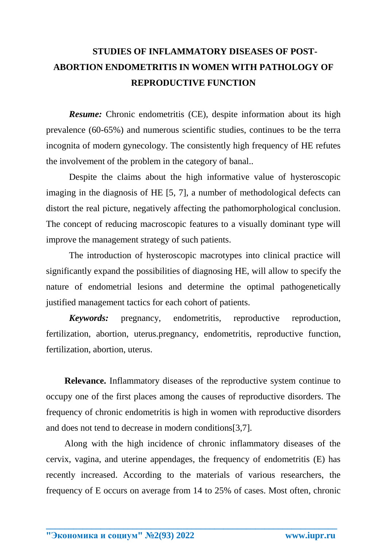## **STUDIES OF INFLAMMATORY DISEASES OF POST-ABORTION ENDOMETRITIS IN WOMEN WITH PATHOLOGY OF REPRODUCTIVE FUNCTION**

*Resume:* Chronic endometritis (CE), despite information about its high prevalence (60-65%) and numerous scientific studies, continues to be the terra incognita of modern gynecology. The consistently high frequency of HE refutes the involvement of the problem in the category of banal..

Despite the claims about the high informative value of hysteroscopic imaging in the diagnosis of HE [5, 7], a number of methodological defects can distort the real picture, negatively affecting the pathomorphological conclusion. The concept of reducing macroscopic features to a visually dominant type will improve the management strategy of such patients.

The introduction of hysteroscopic macrotypes into clinical practice will significantly expand the possibilities of diagnosing HE, will allow to specify the nature of endometrial lesions and determine the optimal pathogenetically justified management tactics for each cohort of patients.

*Keywords:* pregnancy, endometritis, reproductive reproduction, fertilization, abortion, uterus.pregnancy, endometritis, reproductive function, fertilization, abortion, uterus.

**Relevance.** Inflammatory diseases of the reproductive system continue to occupy one of the first places among the causes of reproductive disorders. The frequency of chronic endometritis is high in women with reproductive disorders and does not tend to decrease in modern conditions[3,7].

Along with the high incidence of chronic inflammatory diseases of the cervix, vagina, and uterine appendages, the frequency of endometritis (E) has recently increased. According to the materials of various researchers, the frequency of E occurs on average from 14 to 25% of cases. Most often, chronic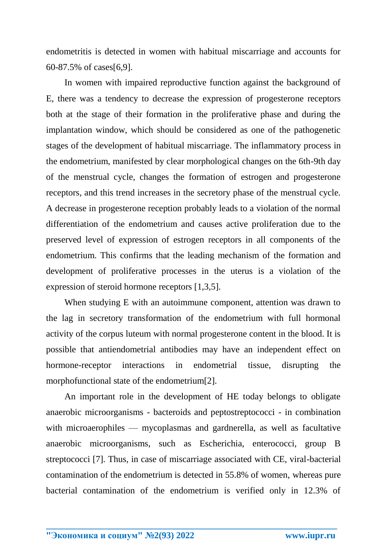endometritis is detected in women with habitual miscarriage and accounts for 60-87.5% of cases[6,9].

In women with impaired reproductive function against the background of E, there was a tendency to decrease the expression of progesterone receptors both at the stage of their formation in the proliferative phase and during the implantation window, which should be considered as one of the pathogenetic stages of the development of habitual miscarriage. The inflammatory process in the endometrium, manifested by clear morphological changes on the 6th-9th day of the menstrual cycle, changes the formation of estrogen and progesterone receptors, and this trend increases in the secretory phase of the menstrual cycle. A decrease in progesterone reception probably leads to a violation of the normal differentiation of the endometrium and causes active proliferation due to the preserved level of expression of estrogen receptors in all components of the endometrium. This confirms that the leading mechanism of the formation and development of proliferative processes in the uterus is a violation of the expression of steroid hormone receptors [1,3,5].

When studying E with an autoimmune component, attention was drawn to the lag in secretory transformation of the endometrium with full hormonal activity of the corpus luteum with normal progesterone content in the blood. It is possible that antiendometrial antibodies may have an independent effect on hormone-receptor interactions in endometrial tissue, disrupting the morphofunctional state of the endometrium[2].

An important role in the development of HE today belongs to obligate anaerobic microorganisms - bacteroids and peptostreptococci - in combination with microaerophiles — mycoplasmas and gardnerella, as well as facultative anaerobic microorganisms, such as Escherichia, enterococci, group B streptococci [7]. Thus, in case of miscarriage associated with CE, viral-bacterial contamination of the endometrium is detected in 55.8% of women, whereas pure bacterial contamination of the endometrium is verified only in 12.3% of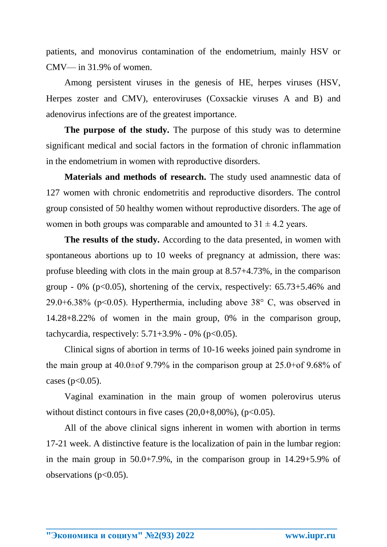patients, and monovirus contamination of the endometrium, mainly HSV or CMV— in 31.9% of women.

Among persistent viruses in the genesis of HE, herpes viruses (HSV, Herpes zoster and CMV), enteroviruses (Coxsackie viruses A and B) and adenovirus infections are of the greatest importance.

**The purpose of the study.** The purpose of this study was to determine significant medical and social factors in the formation of chronic inflammation in the endometrium in women with reproductive disorders.

**Materials and methods of research.** The study used anamnestic data of 127 women with chronic endometritis and reproductive disorders. The control group consisted of 50 healthy women without reproductive disorders. The age of women in both groups was comparable and amounted to  $31 \pm 4.2$  years.

**The results of the study.** According to the data presented, in women with spontaneous abortions up to 10 weeks of pregnancy at admission, there was: profuse bleeding with clots in the main group at 8.57+4.73%, in the comparison group - 0% ( $p<0.05$ ), shortening of the cervix, respectively:  $65.73+5.46%$  and 29.0+6.38% ( $p$ <0.05). Hyperthermia, including above 38 $^{\circ}$  C, was observed in 14.28+8.22% of women in the main group, 0% in the comparison group, tachycardia, respectively:  $5.71 + 3.9\% - 0\%$  (p<0.05).

Clinical signs of abortion in terms of 10-16 weeks joined pain syndrome in the main group at  $40.0\pm$ of 9.79% in the comparison group at  $25.0\pm$ of 9.68% of cases ( $p<0.05$ ).

Vaginal examination in the main group of women polerovirus uterus without distinct contours in five cases  $(20.0+8.00\%)$ ,  $(p<0.05)$ .

All of the above clinical signs inherent in women with abortion in terms 17-21 week. A distinctive feature is the localization of pain in the lumbar region: in the main group in 50.0+7.9%, in the comparison group in 14.29+5.9% of observations  $(p<0.05)$ .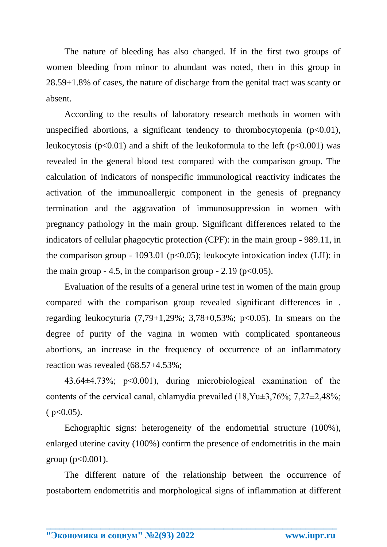The nature of bleeding has also changed. If in the first two groups of women bleeding from minor to abundant was noted, then in this group in 28.59+1.8% of cases, the nature of discharge from the genital tract was scanty or absent.

According to the results of laboratory research methods in women with unspecified abortions, a significant tendency to thrombocytopenia  $(p<0.01)$ , leukocytosis ( $p<0.01$ ) and a shift of the leukoformula to the left ( $p<0.001$ ) was revealed in the general blood test compared with the comparison group. The calculation of indicators of nonspecific immunological reactivity indicates the activation of the immunoallergic component in the genesis of pregnancy termination and the aggravation of immunosuppression in women with pregnancy pathology in the main group. Significant differences related to the indicators of cellular phagocytic protection (CPF): in the main group - 989.11, in the comparison group - 1093.01 ( $p<0.05$ ); leukocyte intoxication index (LII): in the main group  $-4.5$ , in the comparison group  $-2.19$  (p $<0.05$ ).

Evaluation of the results of a general urine test in women of the main group compared with the comparison group revealed significant differences in . regarding leukocyturia  $(7.79+1.29\%; 3.78+0.53\%; p<0.05)$ . In smears on the degree of purity of the vagina in women with complicated spontaneous abortions, an increase in the frequency of occurrence of an inflammatory reaction was revealed (68.57+4.53%;

43.64±4.73%; p<0.001), during microbiological examination of the contents of the cervical canal, chlamydia prevailed (18,Yu±3,76%; 7,27±2,48%;  $(p<0.05)$ .

Echographic signs: heterogeneity of the endometrial structure (100%), enlarged uterine cavity (100%) confirm the presence of endometritis in the main group ( $p < 0.001$ ).

The different nature of the relationship between the occurrence of postabortem endometritis and morphological signs of inflammation at different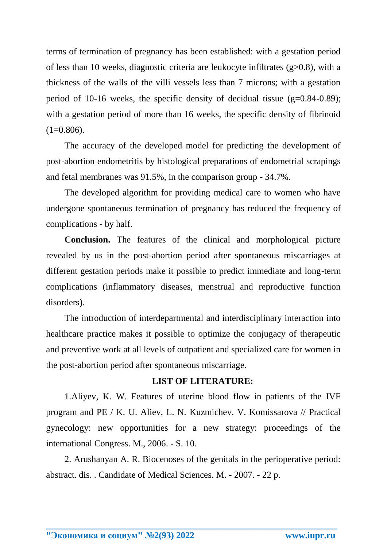terms of termination of pregnancy has been established: with a gestation period of less than 10 weeks, diagnostic criteria are leukocyte infiltrates (g>0.8), with a thickness of the walls of the villi vessels less than 7 microns; with a gestation period of 10-16 weeks, the specific density of decidual tissue  $(g=0.84-0.89)$ ; with a gestation period of more than 16 weeks, the specific density of fibrinoid  $(1=0.806)$ .

The accuracy of the developed model for predicting the development of post-abortion endometritis by histological preparations of endometrial scrapings and fetal membranes was 91.5%, in the comparison group - 34.7%.

The developed algorithm for providing medical care to women who have undergone spontaneous termination of pregnancy has reduced the frequency of complications - by half.

**Conclusion.** The features of the clinical and morphological picture revealed by us in the post-abortion period after spontaneous miscarriages at different gestation periods make it possible to predict immediate and long-term complications (inflammatory diseases, menstrual and reproductive function disorders).

The introduction of interdepartmental and interdisciplinary interaction into healthcare practice makes it possible to optimize the conjugacy of therapeutic and preventive work at all levels of outpatient and specialized care for women in the post-abortion period after spontaneous miscarriage.

## **LIST OF LITERATURE:**

1.Aliyev, K. W. Features of uterine blood flow in patients of the IVF program and PE / K. U. Aliev, L. N. Kuzmichev, V. Komissarova // Practical gynecology: new opportunities for a new strategy: proceedings of the international Congress. M., 2006. - S. 10.

2. Arushanyan A. R. Biocenoses of the genitals in the perioperative period: abstract. dis. . Candidate of Medical Sciences. M. - 2007. - 22 p.